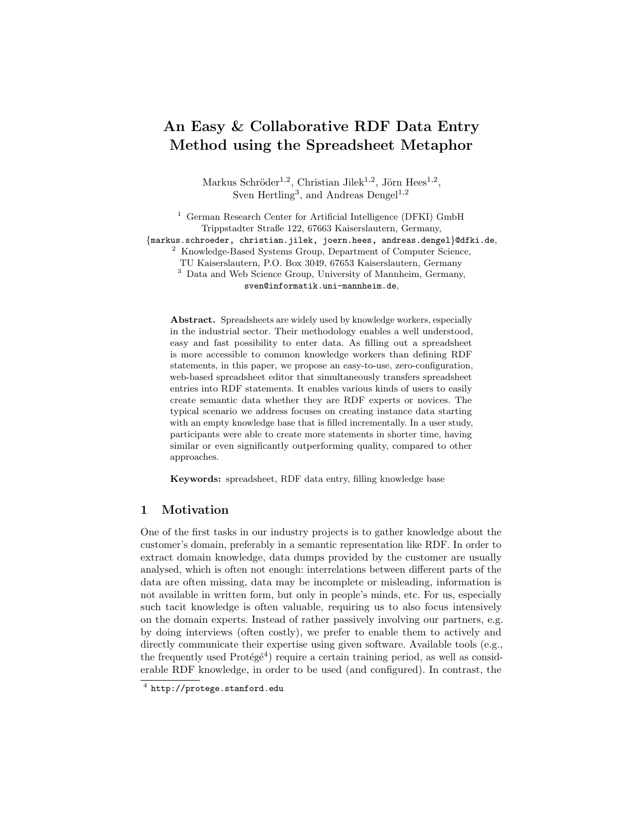# An Easy & Collaborative RDF Data Entry Method using the Spreadsheet Metaphor

Markus Schröder<sup>1,2</sup>, Christian Jilek<sup>1,2</sup>, Jörn Hees<sup>1,2</sup>, Sven Hertling<sup>3</sup>, and Andreas Dengel<sup>1,2</sup>

<sup>1</sup> German Research Center for Artificial Intelligence (DFKI) GmbH Trippstadter Straße 122, 67663 Kaiserslautern, Germany, {markus.schroeder, christian.jilek, joern.hees, andreas.dengel}@dfki.de, <sup>2</sup> Knowledge-Based Systems Group, Department of Computer Science, TU Kaiserslautern, P.O. Box 3049, 67653 Kaiserslautern, Germany <sup>3</sup> Data and Web Science Group, University of Mannheim, Germany, sven@informatik.uni-mannheim.de,

Abstract. Spreadsheets are widely used by knowledge workers, especially in the industrial sector. Their methodology enables a well understood, easy and fast possibility to enter data. As filling out a spreadsheet is more accessible to common knowledge workers than defining RDF statements, in this paper, we propose an easy-to-use, zero-configuration, web-based spreadsheet editor that simultaneously transfers spreadsheet entries into RDF statements. It enables various kinds of users to easily create semantic data whether they are RDF experts or novices. The typical scenario we address focuses on creating instance data starting with an empty knowledge base that is filled incrementally. In a user study, participants were able to create more statements in shorter time, having similar or even significantly outperforming quality, compared to other approaches.

Keywords: spreadsheet, RDF data entry, filling knowledge base

## 1 Motivation

One of the first tasks in our industry projects is to gather knowledge about the customer's domain, preferably in a semantic representation like RDF. In order to extract domain knowledge, data dumps provided by the customer are usually analysed, which is often not enough: interrelations between different parts of the data are often missing, data may be incomplete or misleading, information is not available in written form, but only in people's minds, etc. For us, especially such tacit knowledge is often valuable, requiring us to also focus intensively on the domain experts. Instead of rather passively involving our partners, e.g. by doing interviews (often costly), we prefer to enable them to actively and directly communicate their expertise using given software. Available tools (e.g., the frequently used  $Prot\acute{e}g\acute{e}4$  $Prot\acute{e}g\acute{e}4$ ) require a certain training period, as well as considerable RDF knowledge, in order to be used (and configured). In contrast, the

<span id="page-0-0"></span> $^4$  <http://protege.stanford.edu>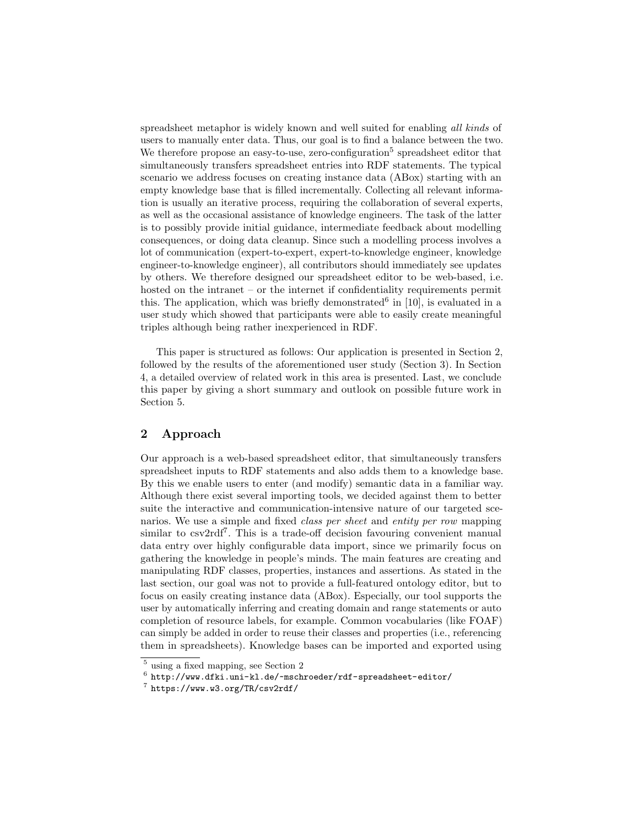spreadsheet metaphor is widely known and well suited for enabling all kinds of users to manually enter data. Thus, our goal is to find a balance between the two. We therefore propose an easy-to-use, zero-configuration<sup>[5](#page-1-0)</sup> spreadsheet editor that simultaneously transfers spreadsheet entries into RDF statements. The typical scenario we address focuses on creating instance data (ABox) starting with an empty knowledge base that is filled incrementally. Collecting all relevant information is usually an iterative process, requiring the collaboration of several experts, as well as the occasional assistance of knowledge engineers. The task of the latter is to possibly provide initial guidance, intermediate feedback about modelling consequences, or doing data cleanup. Since such a modelling process involves a lot of communication (expert-to-expert, expert-to-knowledge engineer, knowledge engineer-to-knowledge engineer), all contributors should immediately see updates by others. We therefore designed our spreadsheet editor to be web-based, i.e. hosted on the intranet – or the internet if confidentiality requirements permit this. The application, which was briefly demonstrated  $6$  in [\[10\]](#page-14-0), is evaluated in a user study which showed that participants were able to easily create meaningful triples although being rather inexperienced in RDF.

This paper is structured as follows: Our application is presented in Section [2,](#page-1-2) followed by the results of the aforementioned user study (Section [3\)](#page-5-0). In Section [4,](#page-9-0) a detailed overview of related work in this area is presented. Last, we conclude this paper by giving a short summary and outlook on possible future work in Section [5.](#page-13-0)

# <span id="page-1-2"></span>2 Approach

Our approach is a web-based spreadsheet editor, that simultaneously transfers spreadsheet inputs to RDF statements and also adds them to a knowledge base. By this we enable users to enter (and modify) semantic data in a familiar way. Although there exist several importing tools, we decided against them to better suite the interactive and communication-intensive nature of our targeted scenarios. We use a simple and fixed class per sheet and entity per row mapping similar to csv2rdf<sup>[7](#page-1-3)</sup>. This is a trade-off decision favouring convenient manual data entry over highly configurable data import, since we primarily focus on gathering the knowledge in people's minds. The main features are creating and manipulating RDF classes, properties, instances and assertions. As stated in the last section, our goal was not to provide a full-featured ontology editor, but to focus on easily creating instance data (ABox). Especially, our tool supports the user by automatically inferring and creating domain and range statements or auto completion of resource labels, for example. Common vocabularies (like FOAF) can simply be added in order to reuse their classes and properties (i.e., referencing them in spreadsheets). Knowledge bases can be imported and exported using

<span id="page-1-0"></span><sup>5</sup> using a fixed mapping, see Section [2](#page-1-2)

<span id="page-1-1"></span> $\frac{6}{5}$  <http://www.dfki.uni-kl.de/~mschroeder/rdf-spreadsheet-editor/>

<span id="page-1-3"></span><sup>7</sup> <https://www.w3.org/TR/csv2rdf/>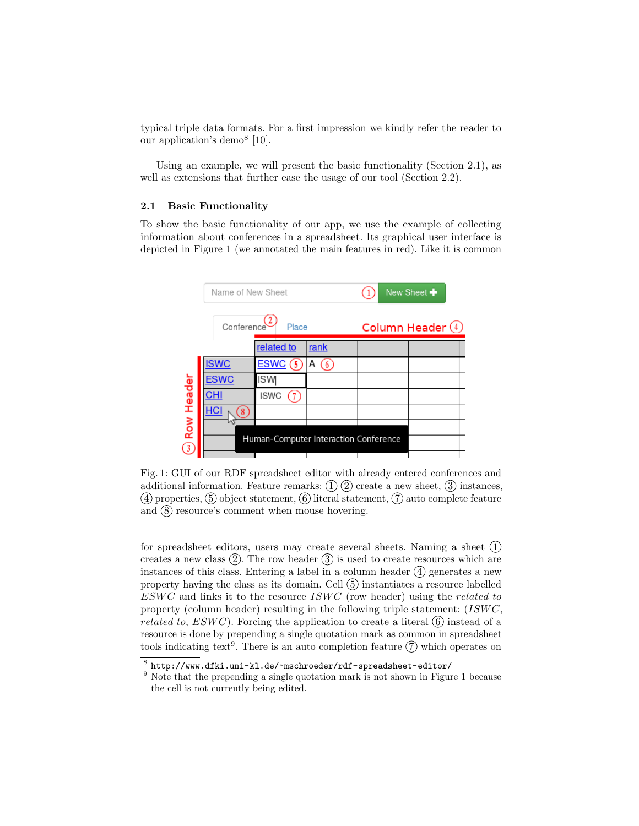typical triple data formats. For a first impression we kindly refer the reader to our application's demo[8](#page-2-0) [\[10\]](#page-14-0).

Using an example, we will present the basic functionality (Section [2.1\)](#page-2-1), as well as extensions that further ease the usage of our tool (Section [2.2\)](#page-4-0).

#### <span id="page-2-1"></span>2.1 Basic Functionality

To show the basic functionality of our app, we use the example of collecting information about conferences in a spreadsheet. Its graphical user interface is depicted in Figure [1](#page-2-2) (we annotated the main features in red). Like it is common

<span id="page-2-2"></span>

Fig. 1: GUI of our RDF spreadsheet editor with already entered conferences and additional information. Feature remarks:  $(1)$   $(2)$  create a new sheet,  $(3)$  instances,  $(4)$  properties,  $(5)$  object statement,  $(6)$  literal statement,  $(7)$  auto complete feature and  $\circledS$  resource's comment when mouse hovering.

for spreadsheet editors, users may create several sheets. Naming a sheet  $(1)$ creates a new class  $(2)$ . The row header  $(3)$  is used to create resources which are instances of this class. Entering a label in a column header  $\overline{4}$  generates a new property having the class as its domain. Cell  $(5)$  instantiates a resource labelled  $ESWC$  and links it to the resource  $ISWC$  (row header) using the *related to* property (column header) resulting in the following triple statement:  $(ISWC,$ *related to, ESWC*). Forcing the application to create a literal  $\overline{6}$  instead of a resource is done by prepending a single quotation mark as common in spreadsheet tools indicating text<sup>[9](#page-2-3)</sup>. There is an auto completion feature  $(7)$  which operates on

<span id="page-2-0"></span> $\frac{8}{\pi}$  <http://www.dfki.uni-kl.de/~mschroeder/rdf-spreadsheet-editor/>

<span id="page-2-3"></span><sup>&</sup>lt;sup>9</sup> Note that the prepending a single quotation mark is not shown in Figure [1](#page-2-2) because the cell is not currently being edited.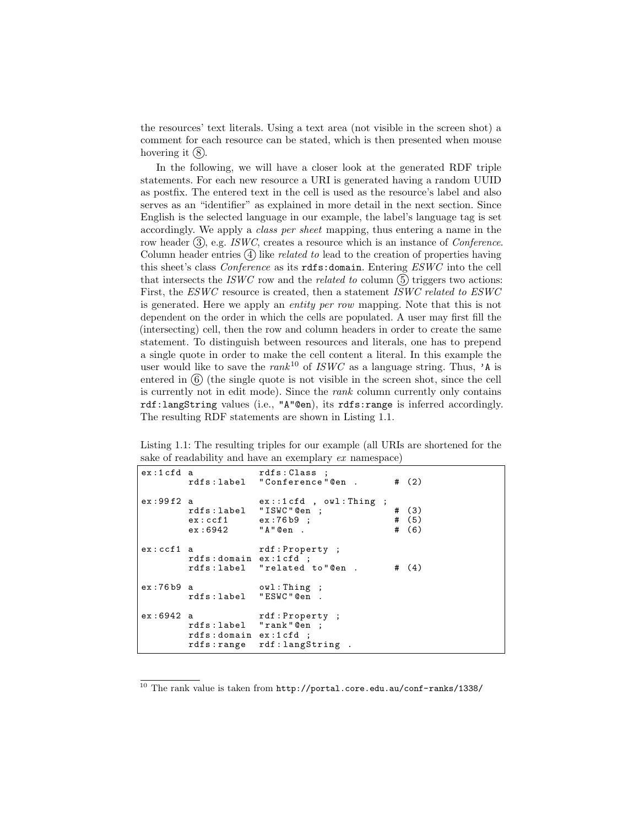the resources' text literals. Using a text area (not visible in the screen shot) a comment for each resource can be stated, which is then presented when mouse hovering it  $(8)$ .

In the following, we will have a closer look at the generated RDF triple statements. For each new resource a URI is generated having a random UUID as postfix. The entered text in the cell is used as the resource's label and also serves as an "identifier" as explained in more detail in the next section. Since English is the selected language in our example, the label's language tag is set accordingly. We apply a class per sheet mapping, thus entering a name in the row header  $(3)$ , e.g. ISWC, creates a resource which is an instance of Conference. Column header entries  $(4)$  like *related to* lead to the creation of properties having this sheet's class Conference as its rdfs:domain. Entering ESWC into the cell that intersects the ISWC row and the related to column  $(5)$  triggers two actions: First, the ESWC resource is created, then a statement ISWC related to ESWC is generated. Here we apply an entity per row mapping. Note that this is not dependent on the order in which the cells are populated. A user may first fill the (intersecting) cell, then the row and column headers in order to create the same statement. To distinguish between resources and literals, one has to prepend a single quote in order to make the cell content a literal. In this example the user would like to save the  $rank<sup>10</sup>$  $rank<sup>10</sup>$  $rank<sup>10</sup>$  of ISWC as a language string. Thus, 'A is entered in  $(6)$  (the single quote is not visible in the screen shot, since the cell is currently not in edit mode). Since the rank column currently only contains rdf:langString values (i.e., "A"@en), its rdfs:range is inferred accordingly. The resulting RDF statements are shown in Listing [1.1.](#page-3-1)

<span id="page-3-1"></span>Listing 1.1: The resulting triples for our example (all URIs are shortened for the sake of readability and have an exemplary ex namespace)

| $ex:1cfd$ a |                                                                      | rdfs: Class ;<br>rdfs:label "Conference"@en .  | # $(2)$                     |
|-------------|----------------------------------------------------------------------|------------------------------------------------|-----------------------------|
| ex:99f2 a   | rdfs:label "ISWC"@en ;<br>$ex:ccf1$ $ex:76b9$ ;<br>$ex:6942$ "A"@en. | $ex: : 1cfd$ , $owl: Thing;$                   | # $(3)$<br># (5)<br># $(6)$ |
| ex:ccf1 a   | rdfs: domain ex: 1 cfd;                                              | rdf:Property;<br>rdfs:label "related to"@en.   | # $(4)$                     |
| ex:76b9 a   | rdfs:label "ESWC"@en.                                                | owl:Thing ;                                    |                             |
| ex:6942a    | rdfs:label "rank"@en ;<br>rdfs: domain ex: 1 cfd ;                   | rdf: Property;<br>rdfs: range rdf: langString. |                             |

<span id="page-3-0"></span> $^{10}$  The rank value is taken from  ${\tt http://portal.core.edu.au/conf-ranks/1338/}$  ${\tt http://portal.core.edu.au/conf-ranks/1338/}$  ${\tt http://portal.core.edu.au/conf-ranks/1338/}$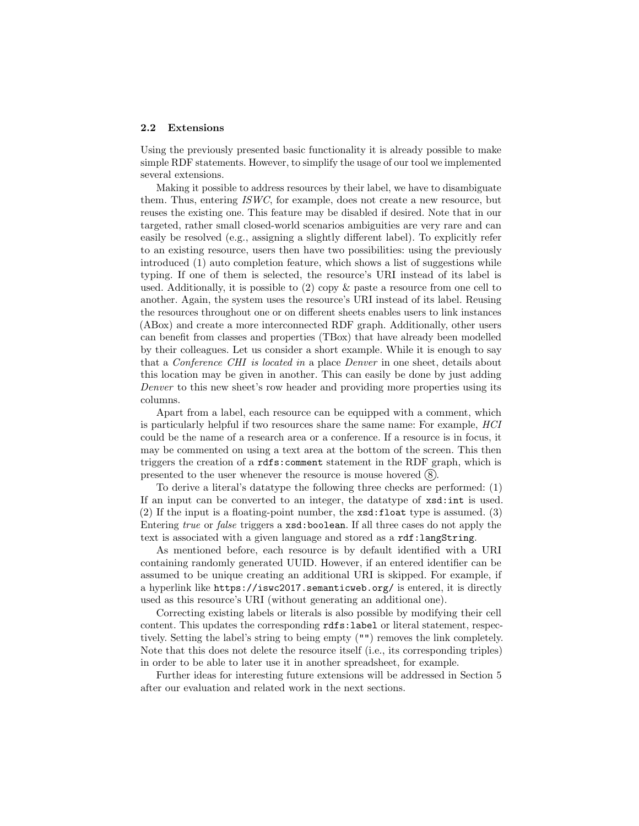#### <span id="page-4-0"></span>2.2 Extensions

Using the previously presented basic functionality it is already possible to make simple RDF statements. However, to simplify the usage of our tool we implemented several extensions.

Making it possible to address resources by their label, we have to disambiguate them. Thus, entering ISWC, for example, does not create a new resource, but reuses the existing one. This feature may be disabled if desired. Note that in our targeted, rather small closed-world scenarios ambiguities are very rare and can easily be resolved (e.g., assigning a slightly different label). To explicitly refer to an existing resource, users then have two possibilities: using the previously introduced (1) auto completion feature, which shows a list of suggestions while typing. If one of them is selected, the resource's URI instead of its label is used. Additionally, it is possible to (2) copy & paste a resource from one cell to another. Again, the system uses the resource's URI instead of its label. Reusing the resources throughout one or on different sheets enables users to link instances (ABox) and create a more interconnected RDF graph. Additionally, other users can benefit from classes and properties (TBox) that have already been modelled by their colleagues. Let us consider a short example. While it is enough to say that a Conference CHI is located in a place Denver in one sheet, details about this location may be given in another. This can easily be done by just adding Denver to this new sheet's row header and providing more properties using its columns.

Apart from a label, each resource can be equipped with a comment, which is particularly helpful if two resources share the same name: For example, HCI could be the name of a research area or a conference. If a resource is in focus, it may be commented on using a text area at the bottom of the screen. This then triggers the creation of a rdfs:comment statement in the RDF graph, which is presented to the user whenever the resource is mouse hovered  $(8)$ .

To derive a literal's datatype the following three checks are performed: (1) If an input can be converted to an integer, the datatype of xsd:int is used. (2) If the input is a floating-point number, the xsd:float type is assumed. (3) Entering true or false triggers a xsd:boolean. If all three cases do not apply the text is associated with a given language and stored as a rdf:langString.

As mentioned before, each resource is by default identified with a URI containing randomly generated UUID. However, if an entered identifier can be assumed to be unique creating an additional URI is skipped. For example, if a hyperlink like https://iswc2017.semanticweb.org/ is entered, it is directly used as this resource's URI (without generating an additional one).

Correcting existing labels or literals is also possible by modifying their cell content. This updates the corresponding rdfs:label or literal statement, respectively. Setting the label's string to being empty ("") removes the link completely. Note that this does not delete the resource itself (i.e., its corresponding triples) in order to be able to later use it in another spreadsheet, for example.

Further ideas for interesting future extensions will be addressed in Section [5](#page-13-0) after our evaluation and related work in the next sections.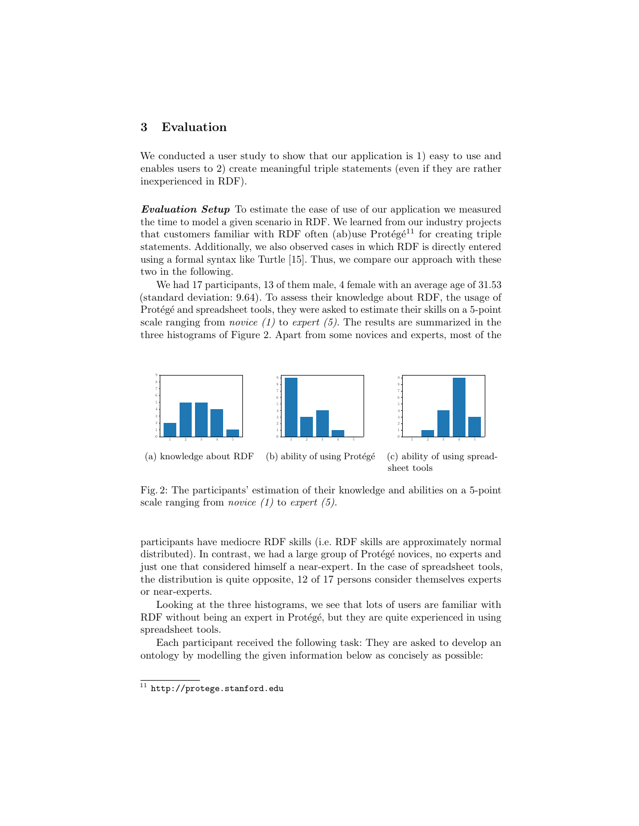# <span id="page-5-0"></span>3 Evaluation

We conducted a user study to show that our application is 1) easy to use and enables users to 2) create meaningful triple statements (even if they are rather inexperienced in RDF).

Evaluation Setup To estimate the ease of use of our application we measured the time to model a given scenario in RDF. We learned from our industry projects that customers familiar with RDF often (ab)use  $Prot\acute{e}g\acute{e}^{11}$  $Prot\acute{e}g\acute{e}^{11}$  $Prot\acute{e}g\acute{e}^{11}$  for creating triple statements. Additionally, we also observed cases in which RDF is directly entered using a formal syntax like Turtle [\[15\]](#page-14-1). Thus, we compare our approach with these two in the following.

We had 17 participants, 13 of them male, 4 female with an average age of 31.53 (standard deviation: 9.64). To assess their knowledge about RDF, the usage of Protégé and spreadsheet tools, they were asked to estimate their skills on a 5-point scale ranging from *novice*  $(1)$  to *expert*  $(5)$ . The results are summarized in the three histograms of Figure [2.](#page-5-2) Apart from some novices and experts, most of the

<span id="page-5-2"></span>

Fig. 2: The participants' estimation of their knowledge and abilities on a 5-point scale ranging from *novice*  $(1)$  to expert  $(5)$ .

participants have mediocre RDF skills (i.e. RDF skills are approximately normal distributed). In contrast, we had a large group of Protégé novices, no experts and just one that considered himself a near-expert. In the case of spreadsheet tools, the distribution is quite opposite, 12 of 17 persons consider themselves experts or near-experts.

Looking at the three histograms, we see that lots of users are familiar with RDF without being an expert in Protégé, but they are quite experienced in using spreadsheet tools.

Each participant received the following task: They are asked to develop an ontology by modelling the given information below as concisely as possible:

<span id="page-5-1"></span> $\overline{11 \text{ } \text{http://protege.stanford.edu}}$  $\overline{11 \text{ } \text{http://protege.stanford.edu}}$  $\overline{11 \text{ } \text{http://protege.stanford.edu}}$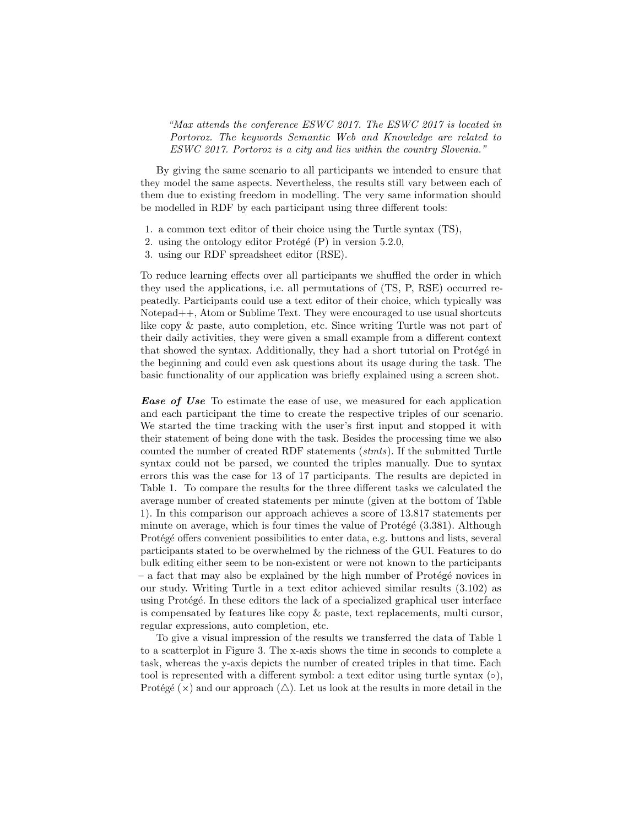"Max attends the conference ESWC 2017. The ESWC 2017 is located in Portoroz. The keywords Semantic Web and Knowledge are related to ESWC 2017. Portoroz is a city and lies within the country Slovenia."

By giving the same scenario to all participants we intended to ensure that they model the same aspects. Nevertheless, the results still vary between each of them due to existing freedom in modelling. The very same information should be modelled in RDF by each participant using three different tools:

- 1. a common text editor of their choice using the Turtle syntax (TS),
- 2. using the ontology editor Protégé  $(P)$  in version 5.2.0,
- 3. using our RDF spreadsheet editor (RSE).

To reduce learning effects over all participants we shuffled the order in which they used the applications, i.e. all permutations of (TS, P, RSE) occurred repeatedly. Participants could use a text editor of their choice, which typically was Notepad++, Atom or Sublime Text. They were encouraged to use usual shortcuts like copy & paste, auto completion, etc. Since writing Turtle was not part of their daily activities, they were given a small example from a different context that showed the syntax. Additionally, they had a short tutorial on Protégé in the beginning and could even ask questions about its usage during the task. The basic functionality of our application was briefly explained using a screen shot.

**Ease of Use** To estimate the ease of use, we measured for each application and each participant the time to create the respective triples of our scenario. We started the time tracking with the user's first input and stopped it with their statement of being done with the task. Besides the processing time we also counted the number of created RDF statements (stmts). If the submitted Turtle syntax could not be parsed, we counted the triples manually. Due to syntax errors this was the case for 13 of 17 participants. The results are depicted in Table [1.](#page-7-0) To compare the results for the three different tasks we calculated the average number of created statements per minute (given at the bottom of Table [1\)](#page-7-0). In this comparison our approach achieves a score of 13.817 statements per minute on average, which is four times the value of  $Prot\acute{e}$  (3.381). Although Protégé offers convenient possibilities to enter data, e.g. buttons and lists, several participants stated to be overwhelmed by the richness of the GUI. Features to do bulk editing either seem to be non-existent or were not known to the participants  $-$  a fact that may also be explained by the high number of Protégé novices in our study. Writing Turtle in a text editor achieved similar results (3.102) as using Protégé. In these editors the lack of a specialized graphical user interface is compensated by features like copy & paste, text replacements, multi cursor, regular expressions, auto completion, etc.

To give a visual impression of the results we transferred the data of Table [1](#page-7-0) to a scatterplot in Figure [3.](#page-8-0) The x-axis shows the time in seconds to complete a task, whereas the y-axis depicts the number of created triples in that time. Each tool is represented with a different symbol: a text editor using turtle syntax  $(\circ)$ , Protégé ( $\times$ ) and our approach ( $\triangle$ ). Let us look at the results in more detail in the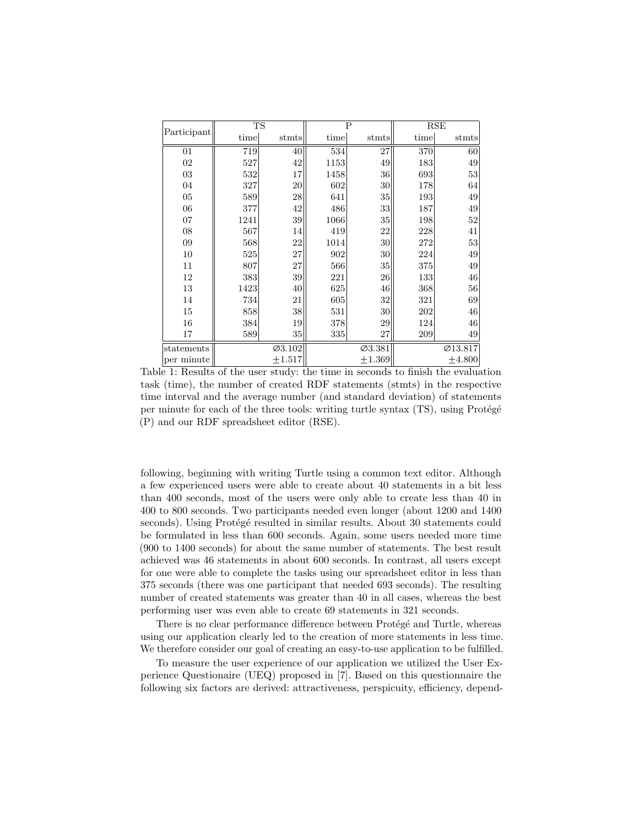<span id="page-7-0"></span>

| Participant | <b>TS</b> |             |      | $\overline{P}$  | RSE  |                      |  |
|-------------|-----------|-------------|------|-----------------|------|----------------------|--|
|             | time      | stmts       | time | stmts           | time | stmts                |  |
| 01          | 719       | 40          | 534  | 27              | 370  | 60                   |  |
| 02          | 527       | 42          | 1153 | 49              | 183  | 49                   |  |
| 03          | 532       | 17          | 1458 | 36              | 693  | 53                   |  |
| 04          | 327       | 20          | 602  | $30\,$          | 178  | 64                   |  |
| 05          | 589       | 28          | 641  | 35              | 193  | 49                   |  |
| 06          | 377       | 42          | 486  | $33$            | 187  | 49                   |  |
| 07          | 1241      | 39          | 1066 | 35              | 198  | 52                   |  |
| 08          | 567       | 14          | 419  | 22              | 228  | 41                   |  |
| 09          | 568       | 22          | 1014 | 30 <sup>°</sup> | 272  | 53                   |  |
| 10          | 525       | 27          | 902  | 30              | 224  | 49                   |  |
| 11          | 807       | 27          | 566  | $35\,$          | 375  | 49                   |  |
| 12          | 383       | 39          | 221  | 26              | 133  | 46                   |  |
| 13          | 1423      | 40          | 625  | 46              | 368  | 56                   |  |
| 14          | 734       | 21          | 605  | 32              | 321  | 69                   |  |
| 15          | 858       | 38          | 531  | 30              | 202  | 46                   |  |
| 16          | 384       | 19          | 378  | 29              | 124  | 46                   |  |
| 17          | 589       | 35          | 335  | 27              | 209  | 49                   |  |
| statements  |           | Ø3.102      |      | Ø3.381          |      | $\varnothing$ 13.817 |  |
| per minute  |           | $\pm 1.517$ |      | $\pm 1.369$     |      | ±4.800               |  |

Table 1: Results of the user study: the time in seconds to finish the evaluation task (time), the number of created RDF statements (stmts) in the respective time interval and the average number (and standard deviation) of statements per minute for each of the three tools: writing turtle syntax  $(TS)$ , using Protégé (P) and our RDF spreadsheet editor (RSE).

following, beginning with writing Turtle using a common text editor. Although a few experienced users were able to create about 40 statements in a bit less than 400 seconds, most of the users were only able to create less than 40 in 400 to 800 seconds. Two participants needed even longer (about 1200 and 1400 seconds). Using Protégé resulted in similar results. About 30 statements could be formulated in less than 600 seconds. Again, some users needed more time (900 to 1400 seconds) for about the same number of statements. The best result achieved was 46 statements in about 600 seconds. In contrast, all users except for one were able to complete the tasks using our spreadsheet editor in less than 375 seconds (there was one participant that needed 693 seconds). The resulting number of created statements was greater than 40 in all cases, whereas the best performing user was even able to create 69 statements in 321 seconds.

There is no clear performance difference between Protégé and Turtle, whereas using our application clearly led to the creation of more statements in less time. We therefore consider our goal of creating an easy-to-use application to be fulfilled.

To measure the user experience of our application we utilized the User Experience Questionaire (UEQ) proposed in [\[7\]](#page-14-2). Based on this questionnaire the following six factors are derived: attractiveness, perspicuity, efficiency, depend-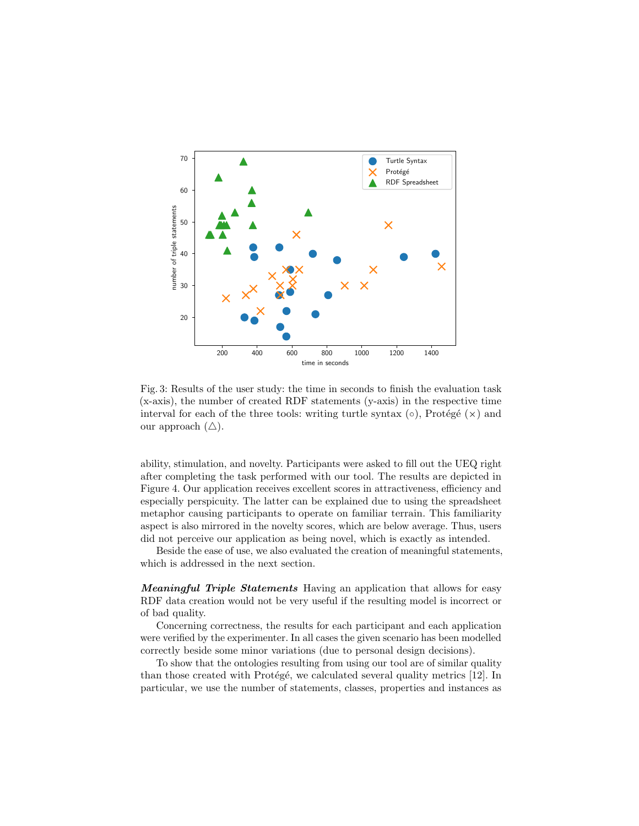<span id="page-8-0"></span>

Fig. 3: Results of the user study: the time in seconds to finish the evaluation task (x-axis), the number of created RDF statements (y-axis) in the respective time interval for each of the three tools: writing turtle syntax  $(\circ)$ , Protégé  $(\times)$  and our approach  $(\triangle)$ .

ability, stimulation, and novelty. Participants were asked to fill out the UEQ right after completing the task performed with our tool. The results are depicted in Figure [4.](#page-9-1) Our application receives excellent scores in attractiveness, efficiency and especially perspicuity. The latter can be explained due to using the spreadsheet metaphor causing participants to operate on familiar terrain. This familiarity aspect is also mirrored in the novelty scores, which are below average. Thus, users did not perceive our application as being novel, which is exactly as intended.

Beside the ease of use, we also evaluated the creation of meaningful statements, which is addressed in the next section.

Meaningful Triple Statements Having an application that allows for easy RDF data creation would not be very useful if the resulting model is incorrect or of bad quality.

Concerning correctness, the results for each participant and each application were verified by the experimenter. In all cases the given scenario has been modelled correctly beside some minor variations (due to personal design decisions).

To show that the ontologies resulting from using our tool are of similar quality than those created with Protégé, we calculated several quality metrics  $[12]$ . In particular, we use the number of statements, classes, properties and instances as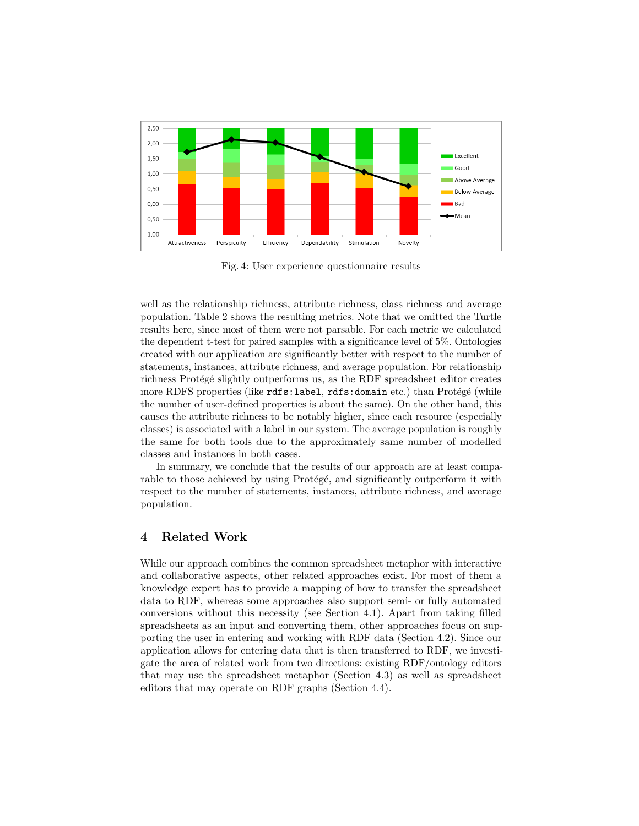<span id="page-9-1"></span>

Fig. 4: User experience questionnaire results

well as the relationship richness, attribute richness, class richness and average population. Table [2](#page-10-0) shows the resulting metrics. Note that we omitted the Turtle results here, since most of them were not parsable. For each metric we calculated the dependent t-test for paired samples with a significance level of 5%. Ontologies created with our application are significantly better with respect to the number of statements, instances, attribute richness, and average population. For relationship richness Protégé slightly outperforms us, as the RDF spreadsheet editor creates more RDFS properties (like rdfs:label, rdfs:domain etc.) than Protégé (while the number of user-defined properties is about the same). On the other hand, this causes the attribute richness to be notably higher, since each resource (especially classes) is associated with a label in our system. The average population is roughly the same for both tools due to the approximately same number of modelled classes and instances in both cases.

In summary, we conclude that the results of our approach are at least comparable to those achieved by using Protégé, and significantly outperform it with respect to the number of statements, instances, attribute richness, and average population.

# <span id="page-9-0"></span>4 Related Work

While our approach combines the common spreadsheet metaphor with interactive and collaborative aspects, other related approaches exist. For most of them a knowledge expert has to provide a mapping of how to transfer the spreadsheet data to RDF, whereas some approaches also support semi- or fully automated conversions without this necessity (see Section [4.1\)](#page-10-1). Apart from taking filled spreadsheets as an input and converting them, other approaches focus on supporting the user in entering and working with RDF data (Section [4.2\)](#page-11-0). Since our application allows for entering data that is then transferred to RDF, we investigate the area of related work from two directions: existing RDF/ontology editors that may use the spreadsheet metaphor (Section [4.3\)](#page-12-0) as well as spreadsheet editors that may operate on RDF graphs (Section [4.4\)](#page-12-1).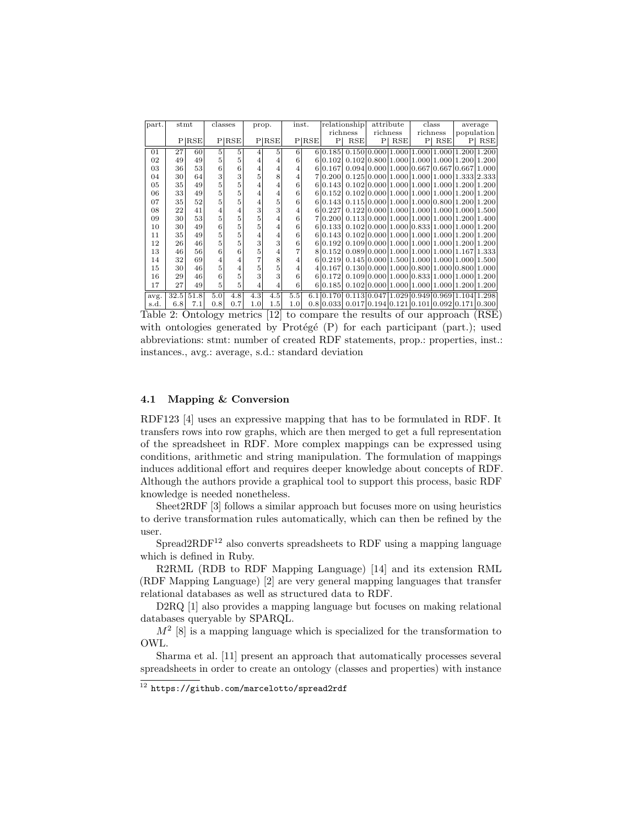<span id="page-10-0"></span>

| part. |                 | stmt<br>classes |                         |                | prop.          | inst.          |     | relationship |           | attribute                                             |   | class      |                | average                                             |                |     |
|-------|-----------------|-----------------|-------------------------|----------------|----------------|----------------|-----|--------------|-----------|-------------------------------------------------------|---|------------|----------------|-----------------------------------------------------|----------------|-----|
|       |                 |                 |                         |                |                |                |     | richness     |           | richness                                              |   | richness   |                | population                                          |                |     |
|       |                 | P RSE           |                         | P RSE          |                | P RSE          |     | P RSE        | P         | RSE                                                   | P | <b>RSE</b> | P <sub>1</sub> | RSE                                                 | P <sub>1</sub> | RSE |
| 01    | 27              | 60              | 5                       | 5              | 4              | 5              | 6   |              | 6 0.185   |                                                       |   |            |                | $0.150 0.000 1.000 1.000 1.000 1.200 1.200$         |                |     |
| 02    | 49              | 49              | 5                       | 5              | 4              | 4              | 6   |              | 6 0.102   |                                                       |   |            |                | $0.102 0.800 1.000 1.000 1.000 1.200 1.200$         |                |     |
| 03    | $36$            | 53              | 6                       | 6              | $\overline{4}$ | 4              | 4   |              | 6 0.167   |                                                       |   |            |                | 0.094 0.000   1.000   0.667   0.667   0.667   1.000 |                |     |
| 04    | 30 <sup>°</sup> | 64              | 3                       | 3              | 5              | 8              | 4   |              | 710.2001  |                                                       |   |            |                | $0.125 0.000 1.000 1.000 1.000 1.333 2.333$         |                |     |
| 05    | 35              | 49              | 5                       | 5              | $\overline{4}$ | $\overline{4}$ | 6   |              | 6 0.143   |                                                       |   |            |                | $0.102 0.000 1.000 1.000 1.000 1.200 1.200$         |                |     |
| 06    | 33              | 49              | 5                       | 5              | $\overline{4}$ | 4              | 6   |              | 6 0.152   |                                                       |   |            |                | $0.102 0.000 1.000 1.000 1.000 1.200 1.200$         |                |     |
| 07    | 35              | 52              | 5                       | 5              | $\overline{4}$ | 5              | 6   |              | 6 0.143   |                                                       |   |            |                | $0.115 0.000 1.000 1.000 0.800 1.200 1.200$         |                |     |
| 08    | 22              | 41              | $\overline{\mathbf{4}}$ | $\overline{4}$ | 3              | 3              | 4   |              | 6 0.227   |                                                       |   |            |                | $0.122 0.000 1.000 1.000 1.000 1.000 1.500$         |                |     |
| 09    | $30$            | 53              | 5                       | 5              | 5              | 4              | 6   |              | 710.2001  |                                                       |   |            |                | $0.113 0.000 1.000 1.000 1.000 1.200 1.400$         |                |     |
| 10    | 30              | 49              | 6                       | 5              | 5              | 4              | 6   |              | 6 0.133   |                                                       |   |            |                | $0.102 0.000 1.000 0.833 1.000 1.000 1.200$         |                |     |
| 11    | 35              | 49              | 5                       | 5              | 4              | 4              | 6   |              | 6 0.143   |                                                       |   |            |                | $0.102 0.000 1.000 1.000 1.000 1.200 1.200$         |                |     |
| 12    | 26              | 46              | 5                       | 5              | 3              | 3              | 6   |              | 6 0.192   |                                                       |   |            |                | $0.109 0.000 1.000 1.000 1.000 1.200 1.200$         |                |     |
| 13    | 46              | 56              | 6                       | 6              | 5              | $\overline{4}$ | 7   |              | 8 0.152   |                                                       |   |            |                | $0.089 0.000 1.000 1.000 1.000 1.167 1.333$         |                |     |
| 14    | 32              | 69              | $\overline{4}$          | $\overline{4}$ | 7              | 8              | 4   |              | 6 0.219   |                                                       |   |            |                | $0.145 0.000 1.500 1.000 1.000 1.000 1.500$         |                |     |
| 15    | 30              | 46              | $\overline{5}$          | $\overline{4}$ | 5              | 5              | 4   |              | 4 0.167   |                                                       |   |            |                | $0.130 0.000 1.000 0.800 1.000 0.800 1.000$         |                |     |
| 16    | 29              | 46              | 6                       | 5              | 3              | 3              | 6   |              | 6 0.172   |                                                       |   |            |                | $0.109 0.000 1.000 0.833 1.000 1.000 1.200$         |                |     |
| 17    | 27              | 49              | $\sqrt{5}$              | 5              | 4              | 4              | 6   |              | 6 0.185   |                                                       |   |            |                | $0.102 0.000 1.000 1.000 1.000 1.200 1.200$         |                |     |
| avg.  | 32.5            | 51.8            | 5.0                     | 4.8            | 4.3            | 4.5            | 5.5 |              | 6.1 0.170 |                                                       |   |            |                | $0.113 0.047 1.029 0.949 0.969 1.104 1.298$         |                |     |
| s.d.  | 6.8             | 7.1             | 0.8                     | 0.7            | 1.0            | 1.5            | 1.0 |              |           | $0.8 0.033 0.017 0.194 0.121 0.101 0.092 0.171 0.300$ |   |            |                |                                                     |                |     |

Table 2: Ontology metrics [\[12\]](#page-14-3) to compare the results of our approach (RSE) with ontologies generated by Protégé  $(P)$  for each participant (part.); used abbreviations: stmt: number of created RDF statements, prop.: properties, inst.: instances., avg.: average, s.d.: standard deviation

## <span id="page-10-1"></span>4.1 Mapping & Conversion

RDF123 [\[4\]](#page-14-4) uses an expressive mapping that has to be formulated in RDF. It transfers rows into row graphs, which are then merged to get a full representation of the spreadsheet in RDF. More complex mappings can be expressed using conditions, arithmetic and string manipulation. The formulation of mappings induces additional effort and requires deeper knowledge about concepts of RDF. Although the authors provide a graphical tool to support this process, basic RDF knowledge is needed nonetheless.

Sheet2RDF [\[3\]](#page-14-5) follows a similar approach but focuses more on using heuristics to derive transformation rules automatically, which can then be refined by the user.

 $S$ pread2RDF<sup>[12](#page-10-2)</sup> also converts spreadsheets to RDF using a mapping language which is defined in Ruby.

R2RML (RDB to RDF Mapping Language) [\[14\]](#page-14-6) and its extension RML (RDF Mapping Language) [\[2\]](#page-13-1) are very general mapping languages that transfer relational databases as well as structured data to RDF.

D2RQ [\[1\]](#page-13-2) also provides a mapping language but focuses on making relational databases queryable by SPARQL.

 $M<sup>2</sup>$  [\[8\]](#page-14-7) is a mapping language which is specialized for the transformation to OWL.

Sharma et al. [\[11\]](#page-14-8) present an approach that automatically processes several spreadsheets in order to create an ontology (classes and properties) with instance

<span id="page-10-2"></span> $\frac{12 \text{ https://github.com/marcelotto/spread2rdf}}{1}$  $\frac{12 \text{ https://github.com/marcelotto/spread2rdf}}{1}$  $\frac{12 \text{ https://github.com/marcelotto/spread2rdf}}{1}$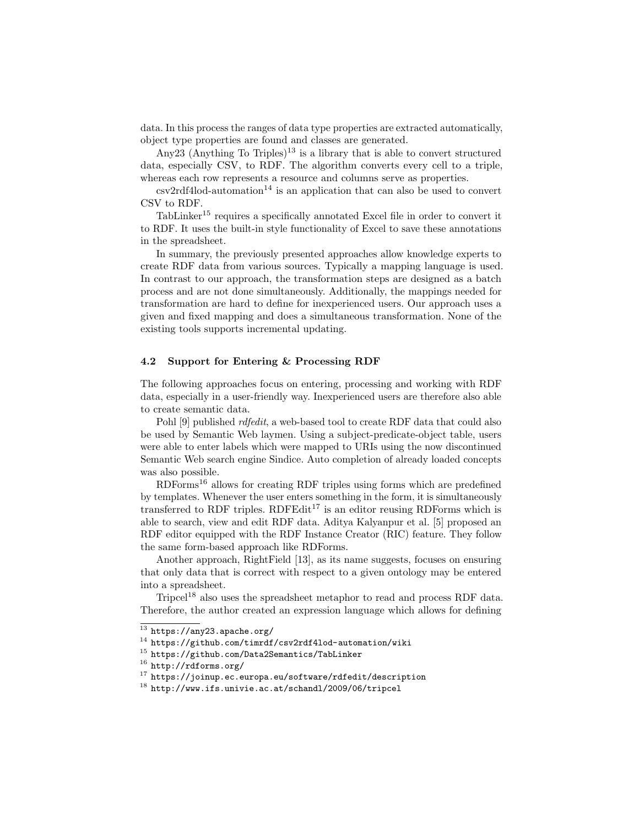data. In this process the ranges of data type properties are extracted automatically, object type properties are found and classes are generated.

Any23 (Anything To Triples)<sup>[13](#page-11-1)</sup> is a library that is able to convert structured data, especially CSV, to RDF. The algorithm converts every cell to a triple, whereas each row represents a resource and columns serve as properties.

 $\text{csv2rdf4lod-automation}^{14}$  $\text{csv2rdf4lod-automation}^{14}$  $\text{csv2rdf4lod-automation}^{14}$  is an application that can also be used to convert CSV to RDF.

TabLinker[15](#page-11-3) requires a specifically annotated Excel file in order to convert it to RDF. It uses the built-in style functionality of Excel to save these annotations in the spreadsheet.

In summary, the previously presented approaches allow knowledge experts to create RDF data from various sources. Typically a mapping language is used. In contrast to our approach, the transformation steps are designed as a batch process and are not done simultaneously. Additionally, the mappings needed for transformation are hard to define for inexperienced users. Our approach uses a given and fixed mapping and does a simultaneous transformation. None of the existing tools supports incremental updating.

#### <span id="page-11-0"></span>4.2 Support for Entering & Processing RDF

The following approaches focus on entering, processing and working with RDF data, especially in a user-friendly way. Inexperienced users are therefore also able to create semantic data.

Pohl [\[9\]](#page-14-9) published *rdfedit*, a web-based tool to create RDF data that could also be used by Semantic Web laymen. Using a subject-predicate-object table, users were able to enter labels which were mapped to URIs using the now discontinued Semantic Web search engine Sindice. Auto completion of already loaded concepts was also possible.

 $RDF \text{orms}^{16}$  $RDF \text{orms}^{16}$  $RDF \text{orms}^{16}$  allows for creating RDF triples using forms which are predefined by templates. Whenever the user enters something in the form, it is simultaneously transferred to RDF triples. RDFEdit<sup>[17](#page-11-5)</sup> is an editor reusing RDForms which is able to search, view and edit RDF data. Aditya Kalyanpur et al. [\[5\]](#page-14-10) proposed an RDF editor equipped with the RDF Instance Creator (RIC) feature. They follow the same form-based approach like RDForms.

Another approach, RightField [\[13\]](#page-14-11), as its name suggests, focuses on ensuring that only data that is correct with respect to a given ontology may be entered into a spreadsheet.

Tripcel<sup>[18](#page-11-6)</sup> also uses the spreadsheet metaphor to read and process RDF data. Therefore, the author created an expression language which allows for defining

<span id="page-11-1"></span> $\frac{13}{13}$  <https://any23.apache.org/>

<span id="page-11-2"></span><sup>14</sup> <https://github.com/timrdf/csv2rdf4lod-automation/wiki>

<span id="page-11-3"></span><sup>15</sup> <https://github.com/Data2Semantics/TabLinker>

<span id="page-11-4"></span><sup>16</sup> <http://rdforms.org/>

<span id="page-11-5"></span><sup>17</sup> <https://joinup.ec.europa.eu/software/rdfedit/description>

<span id="page-11-6"></span><sup>18</sup> <http://www.ifs.univie.ac.at/schandl/2009/06/tripcel>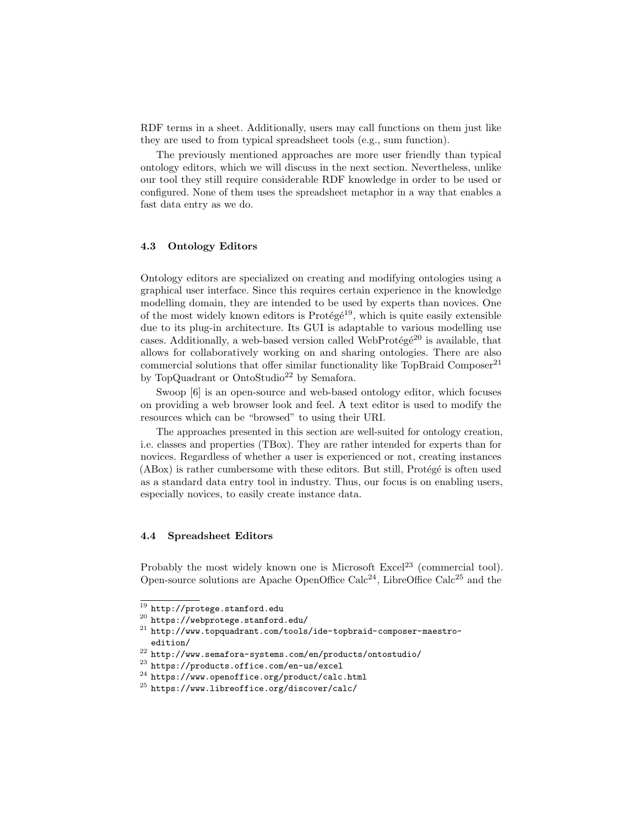RDF terms in a sheet. Additionally, users may call functions on them just like they are used to from typical spreadsheet tools (e.g., sum function).

The previously mentioned approaches are more user friendly than typical ontology editors, which we will discuss in the next section. Nevertheless, unlike our tool they still require considerable RDF knowledge in order to be used or configured. None of them uses the spreadsheet metaphor in a way that enables a fast data entry as we do.

## <span id="page-12-0"></span>4.3 Ontology Editors

Ontology editors are specialized on creating and modifying ontologies using a graphical user interface. Since this requires certain experience in the knowledge modelling domain, they are intended to be used by experts than novices. One of the most widely known editors is Protégé<sup>[19](#page-12-2)</sup>, which is quite easily extensible due to its plug-in architecture. Its GUI is adaptable to various modelling use cases. Additionally, a web-based version called WebProtégé<sup>[20](#page-12-3)</sup> is available, that allows for collaboratively working on and sharing ontologies. There are also commercial solutions that offer similar functionality like TopBraid Composer<sup>[21](#page-12-4)</sup> by TopQuadrant or OntoStudio<sup>[22](#page-12-5)</sup> by Semafora.

Swoop [\[6\]](#page-14-12) is an open-source and web-based ontology editor, which focuses on providing a web browser look and feel. A text editor is used to modify the resources which can be "browsed" to using their URI.

The approaches presented in this section are well-suited for ontology creation, i.e. classes and properties (TBox). They are rather intended for experts than for novices. Regardless of whether a user is experienced or not, creating instances  $(ABox)$  is rather cumbersome with these editors. But still, Protégé is often used as a standard data entry tool in industry. Thus, our focus is on enabling users, especially novices, to easily create instance data.

#### <span id="page-12-1"></span>4.4 Spreadsheet Editors

Probably the most widely known one is Microsoft Excel<sup>[23](#page-12-6)</sup> (commercial tool). Open-source solutions are Apache OpenOffice Calc<sup>[24](#page-12-7)</sup>, LibreOffice Calc<sup>[25](#page-12-8)</sup> and the

<span id="page-12-2"></span> $^{19}$ <http://protege.stanford.edu>

<span id="page-12-3"></span><sup>20</sup> <https://webprotege.stanford.edu/>

<span id="page-12-4"></span><sup>21</sup> [http://www.topquadrant.com/tools/ide-topbraid-composer-maestro](http://www.topquadrant.com/tools/ide-topbraid-composer-maestro-edition/)[edition/](http://www.topquadrant.com/tools/ide-topbraid-composer-maestro-edition/)

<span id="page-12-5"></span> $^{22}$ <http://www.semafora-systems.com/en/products/ontostudio/>

<span id="page-12-6"></span><sup>23</sup> <https://products.office.com/en-us/excel>

<span id="page-12-7"></span><sup>24</sup> <https://www.openoffice.org/product/calc.html>

<span id="page-12-8"></span><sup>25</sup> <https://www.libreoffice.org/discover/calc/>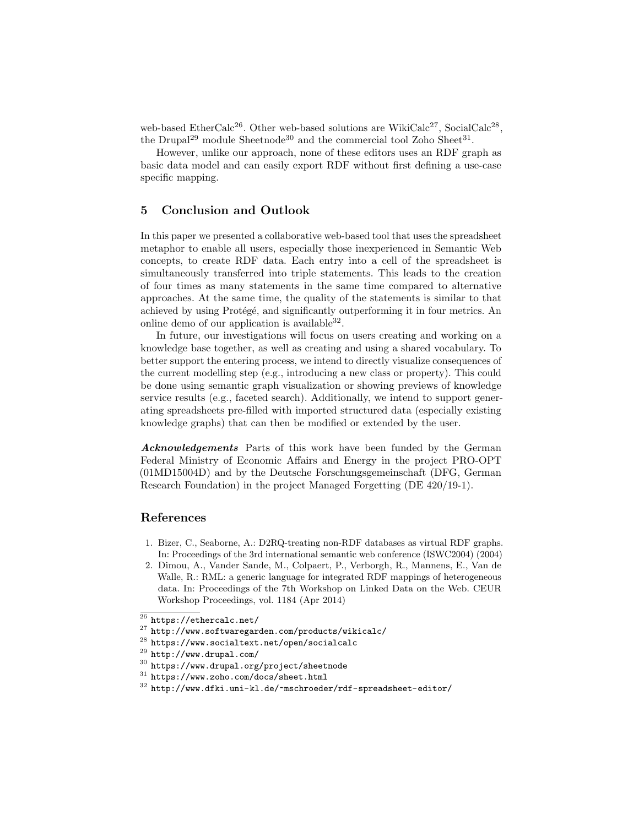web-based EtherCalc<sup>[26](#page-13-3)</sup>. Other web-based solutions are WikiCalc<sup>[27](#page-13-4)</sup>, SocialCalc<sup>[28](#page-13-5)</sup>, the Drupal<sup>[29](#page-13-6)</sup> module Sheetnode<sup>[30](#page-13-7)</sup> and the commercial tool Zoho Sheet<sup>[31](#page-13-8)</sup>.

However, unlike our approach, none of these editors uses an RDF graph as basic data model and can easily export RDF without first defining a use-case specific mapping.

## <span id="page-13-0"></span>5 Conclusion and Outlook

In this paper we presented a collaborative web-based tool that uses the spreadsheet metaphor to enable all users, especially those inexperienced in Semantic Web concepts, to create RDF data. Each entry into a cell of the spreadsheet is simultaneously transferred into triple statements. This leads to the creation of four times as many statements in the same time compared to alternative approaches. At the same time, the quality of the statements is similar to that achieved by using Protégé, and significantly outperforming it in four metrics. An online demo of our application is available  $32$ .

In future, our investigations will focus on users creating and working on a knowledge base together, as well as creating and using a shared vocabulary. To better support the entering process, we intend to directly visualize consequences of the current modelling step (e.g., introducing a new class or property). This could be done using semantic graph visualization or showing previews of knowledge service results (e.g., faceted search). Additionally, we intend to support generating spreadsheets pre-filled with imported structured data (especially existing knowledge graphs) that can then be modified or extended by the user.

Acknowledgements Parts of this work have been funded by the German Federal Ministry of Economic Affairs and Energy in the project PRO-OPT (01MD15004D) and by the Deutsche Forschungsgemeinschaft (DFG, German Research Foundation) in the project Managed Forgetting (DE 420/19-1).

## References

- <span id="page-13-2"></span>1. Bizer, C., Seaborne, A.: D2RQ-treating non-RDF databases as virtual RDF graphs. In: Proceedings of the 3rd international semantic web conference (ISWC2004) (2004)
- <span id="page-13-1"></span>2. Dimou, A., Vander Sande, M., Colpaert, P., Verborgh, R., Mannens, E., Van de Walle, R.: RML: a generic language for integrated RDF mappings of heterogeneous data. In: Proceedings of the 7th Workshop on Linked Data on the Web. CEUR Workshop Proceedings, vol. 1184 (Apr 2014)

<span id="page-13-5"></span><sup>28</sup> <https://www.socialtext.net/open/socialcalc>

- <span id="page-13-8"></span><sup>31</sup> <https://www.zoho.com/docs/sheet.html>
- <span id="page-13-9"></span> $32$  <http://www.dfki.uni-kl.de/~mschroeder/rdf-spreadsheet-editor/>

<span id="page-13-3"></span><sup>26</sup> <https://ethercalc.net/>

<span id="page-13-4"></span><sup>27</sup> <http://www.softwaregarden.com/products/wikicalc/>

<span id="page-13-6"></span><sup>29</sup> <http://www.drupal.com/>

<span id="page-13-7"></span><sup>30</sup> <https://www.drupal.org/project/sheetnode>